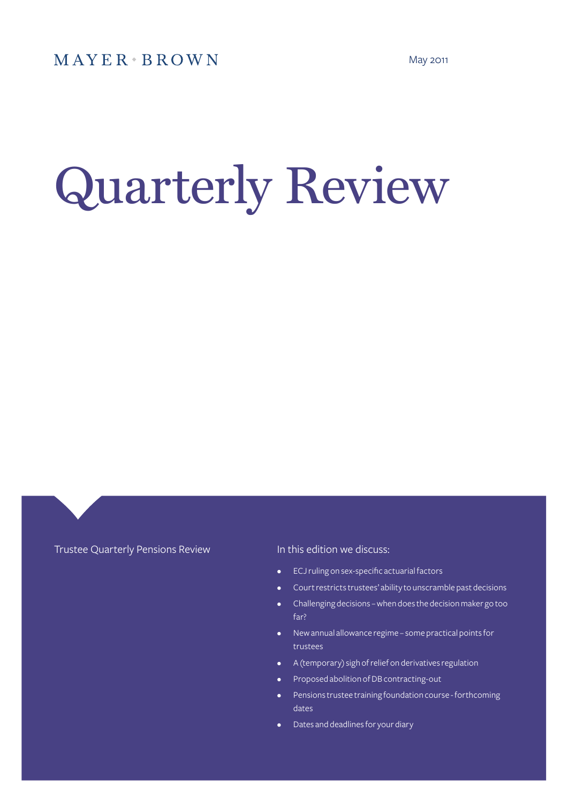# Quarterly Review

Trustee Quarterly Pensions Review **In this edition we discuss:** 

- ECJ ruling on sex-specific actuarial factors
- Court restricts trustees' ability to unscramble past decisions
- Challenging decisions when does the decision maker go too far?
- New annual allowance regime some practical points for trustees
- A (temporary) sigh of relief on derivatives regulation
- Proposed abolition of DB contracting-out
- Pensions trustee training foundation course forthcoming dates
- Dates and deadlines for your diary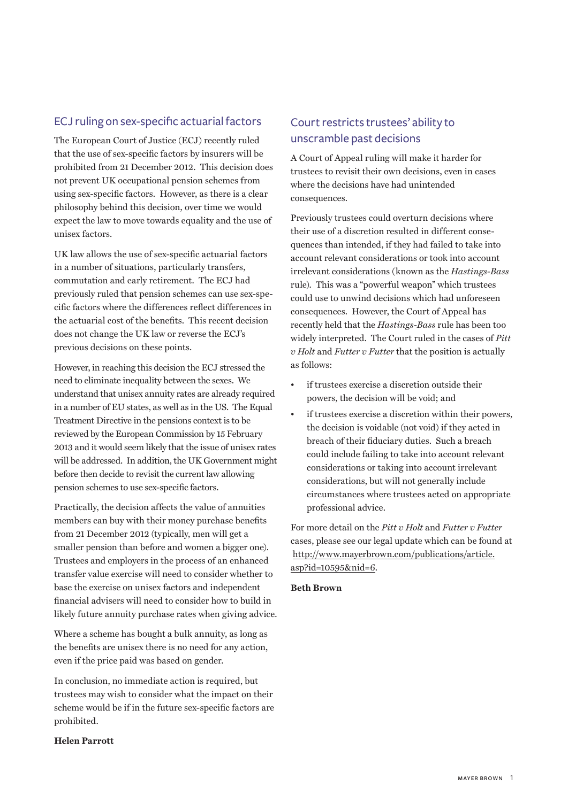## ECJ ruling on sex-specific actuarial factors

The European Court of Justice (ECJ) recently ruled that the use of sex-specific factors by insurers will be prohibited from 21 December 2012. This decision does not prevent UK occupational pension schemes from using sex-specific factors. However, as there is a clear philosophy behind this decision, over time we would expect the law to move towards equality and the use of unisex factors.

UK law allows the use of sex-specific actuarial factors in a number of situations, particularly transfers, commutation and early retirement. The ECJ had previously ruled that pension schemes can use sex-specific factors where the differences reflect differences in the actuarial cost of the benefits. This recent decision does not change the UK law or reverse the ECJ's previous decisions on these points.

However, in reaching this decision the ECJ stressed the need to eliminate inequality between the sexes. We understand that unisex annuity rates are already required in a number of EU states, as well as in the US. The Equal Treatment Directive in the pensions context is to be reviewed by the European Commission by 15 February 2013 and it would seem likely that the issue of unisex rates will be addressed. In addition, the UK Government might before then decide to revisit the current law allowing pension schemes to use sex-specific factors.

Practically, the decision affects the value of annuities members can buy with their money purchase benefits from 21 December 2012 (typically, men will get a smaller pension than before and women a bigger one). Trustees and employers in the process of an enhanced transfer value exercise will need to consider whether to base the exercise on unisex factors and independent financial advisers will need to consider how to build in likely future annuity purchase rates when giving advice.

Where a scheme has bought a bulk annuity, as long as the benefits are unisex there is no need for any action, even if the price paid was based on gender.

In conclusion, no immediate action is required, but trustees may wish to consider what the impact on their scheme would be if in the future sex-specific factors are prohibited.

## **Helen Parrott**

## Court restricts trustees' ability to unscramble past decisions

A Court of Appeal ruling will make it harder for trustees to revisit their own decisions, even in cases where the decisions have had unintended consequences.

Previously trustees could overturn decisions where their use of a discretion resulted in different consequences than intended, if they had failed to take into account relevant considerations or took into account irrelevant considerations (known as the *Hastings-Bass*  rule). This was a "powerful weapon" which trustees could use to unwind decisions which had unforeseen consequences.However, the Court of Appeal has recently held that the *Hastings-Bass* rule has been too widely interpreted. The Court ruled in the cases of *Pitt v Holt* and *Futter v Futter* that the position is actually as follows:

- if trustees exercise a discretion outside their powers, the decision will be void; and
- if trustees exercise a discretion within their powers, the decision is voidable (not void) if they acted in breach of their fiduciary duties. Such a breach could include failing to take into account relevant considerations or taking into account irrelevant considerations, but will not generally include circumstances where trustees acted on appropriate professional advice.

For more detail on the *Pitt v Holt* and *Futter v Futter* cases, please see our legal update which can be found at http://www.mayerbrown.com/publications/article. asp?id=10595&nid=6.

#### **Beth Brown**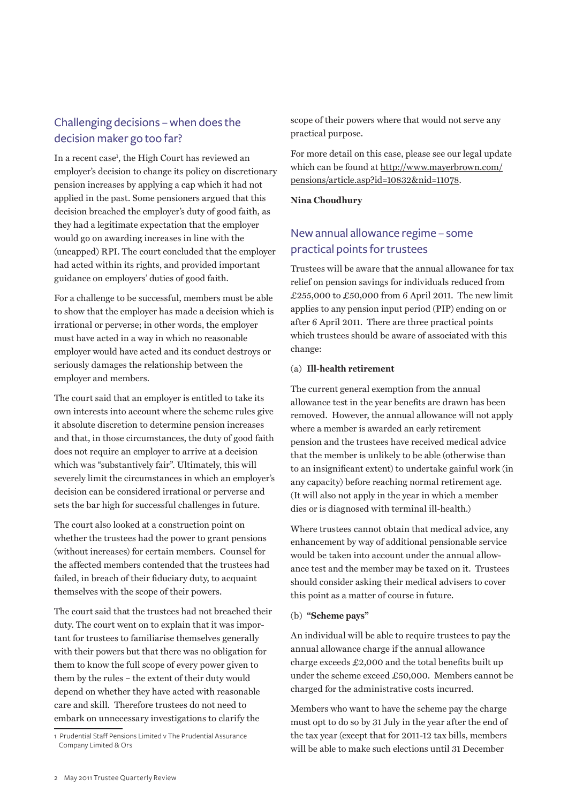## Challenging decisions – when does the decision maker go too far?

In a recent case<sup>1</sup>, the High Court has reviewed an employer's decision to change its policy on discretionary pension increases by applying a cap which it had not applied in the past. Some pensioners argued that this decision breached the employer's duty of good faith, as they had a legitimate expectation that the employer would go on awarding increases in line with the (uncapped) RPI. The court concluded that the employer had acted within its rights, and provided important guidance on employers' duties of good faith.

For a challenge to be successful, members must be able to show that the employer has made a decision which is irrational or perverse; in other words, the employer must have acted in a way in which no reasonable employer would have acted and its conduct destroys or seriously damages the relationship between the employer and members.

The court said that an employer is entitled to take its own interests into account where the scheme rules give it absolute discretion to determine pension increases and that, in those circumstances, the duty of good faith does not require an employer to arrive at a decision which was "substantively fair". Ultimately, this will severely limit the circumstances in which an employer's decision can be considered irrational or perverse and sets the bar high for successful challenges in future.

The court also looked at a construction point on whether the trustees had the power to grant pensions (without increases) for certain members. Counsel for the affected members contended that the trustees had failed, in breach of their fiduciary duty, to acquaint themselves with the scope of their powers.

The court said that the trustees had not breached their duty. The court went on to explain that it was important for trustees to familiarise themselves generally with their powers but that there was no obligation for them to know the full scope of every power given to them by the rules – the extent of their duty would depend on whether they have acted with reasonable care and skill. Therefore trustees do not need to embark on unnecessary investigations to clarify the

scope of their powers where that would not serve any practical purpose.

For more detail on this case, please see our legal update which can be found at http://www.mayerbrown.com/ pensions/article.asp?id=10832&nid=11078.

#### **Nina Choudhury**

## New annual allowance regime – some practical points for trustees

Trustees will be aware that the annual allowance for tax relief on pension savings for individuals reduced from £255,000 to £50,000 from 6 April 2011. The new limit applies to any pension input period (PIP) ending on or after 6 April 2011. There are three practical points which trustees should be aware of associated with this change:

#### (a) **Ill-health retirement**

The current general exemption from the annual allowance test in the year benefits are drawn has been removed. However, the annual allowance will not apply where a member is awarded an early retirement pension and the trustees have received medical advice that the member is unlikely to be able (otherwise than to an insignificant extent) to undertake gainful work (in any capacity) before reaching normal retirement age. (It will also not apply in the year in which a member dies or is diagnosed with terminal ill-health.)

Where trustees cannot obtain that medical advice, any enhancement by way of additional pensionable service would be taken into account under the annual allowance test and the member may be taxed on it. Trustees should consider asking their medical advisers to cover this point as a matter of course in future.

### (b) **"Scheme pays"**

An individual will be able to require trustees to pay the annual allowance charge if the annual allowance charge exceeds £2,000 and the total benefits built up under the scheme exceed £50,000. Members cannot be charged for the administrative costs incurred.

Members who want to have the scheme pay the charge must opt to do so by 31 July in the year after the end of the tax year (except that for 2011-12 tax bills, members will be able to make such elections until 31 December

<sup>1</sup> Prudential Staff Pensions Limited v The Prudential Assurance Company Limited & Ors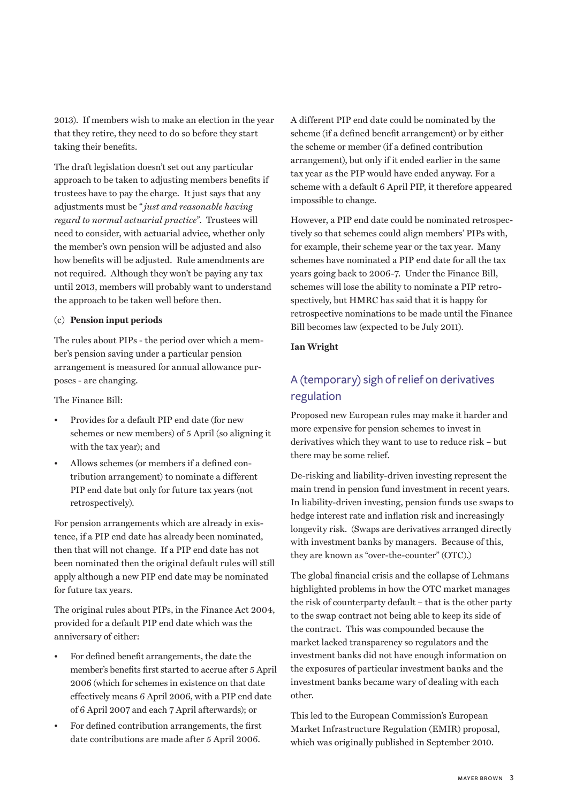2013). If members wish to make an election in the year that they retire, they need to do so before they start taking their benefits.

The draft legislation doesn't set out any particular approach to be taken to adjusting members benefits if trustees have to pay the charge. It just says that any adjustments must be "*just and reasonable having regard to normal actuarial practice*". Trustees will need to consider, with actuarial advice, whether only the member's own pension will be adjusted and also how benefits will be adjusted. Rule amendments are not required. Although they won't be paying any tax until 2013, members will probably want to understand the approach to be taken well before then.

#### (c) **Pension input periods**

The rules about PIPs - the period over which a member's pension saving under a particular pension arrangement is measured for annual allowance purposes - are changing.

The Finance Bill:

- Provides for a default PIP end date (for new schemes or new members) of 5 April (so aligning it with the tax year); and
- Allows schemes (or members if a defined contribution arrangement) to nominate a different PIP end date but only for future tax years (not retrospectively).

For pension arrangements which are already in existence, if a PIP end date has already been nominated, then that will not change. If a PIP end date has not been nominated then the original default rules will still apply although a new PIP end date may be nominated for future tax years.

The original rules about PIPs, in the Finance Act 2004, provided for a default PIP end date which was the anniversary of either:

- For defined benefit arrangements, the date the member's benefits first started to accrue after 5 April 2006 (which for schemes in existence on that date effectively means 6 April 2006, with a PIP end date of 6 April 2007 and each 7 April afterwards); or
- For defined contribution arrangements, the first date contributions are made after 5 April 2006.

A different PIP end date could be nominated by the scheme (if a defined benefit arrangement) or by either the scheme or member (if a defined contribution arrangement), but only if it ended earlier in the same tax year as the PIP would have ended anyway. For a scheme with a default 6 April PIP, it therefore appeared impossible to change.

However, a PIP end date could be nominated retrospectively so that schemes could align members' PIPs with, for example, their scheme year or the tax year. Many schemes have nominated a PIP end date for all the tax years going back to 2006-7. Under the Finance Bill, schemes will lose the ability to nominate a PIP retrospectively, but HMRC has said that it is happy for retrospective nominations to be made until the Finance Bill becomes law (expected to be July 2011).

#### **Ian Wright**

## A (temporary) sigh of relief on derivatives regulation

Proposed new European rules may make it harder and more expensive for pension schemes to invest in derivatives which they want to use to reduce risk – but there may be some relief.

De-risking and liability-driven investing represent the main trend in pension fund investment in recent years. In liability-driven investing, pension funds use swaps to hedge interest rate and inflation risk and increasingly longevity risk. (Swaps are derivatives arranged directly with investment banks by managers. Because of this, they are known as "over-the-counter" (OTC).)

The global financial crisis and the collapse of Lehmans highlighted problems in how the OTC market manages the risk of counterparty default – that is the other party to the swap contract not being able to keep its side of the contract. This was compounded because the market lacked transparency so regulators and the investment banks did not have enough information on the exposures of particular investment banks and the investment banks became wary of dealing with each other.

This led to the European Commission's European Market Infrastructure Regulation (EMIR) proposal, which was originally published in September 2010.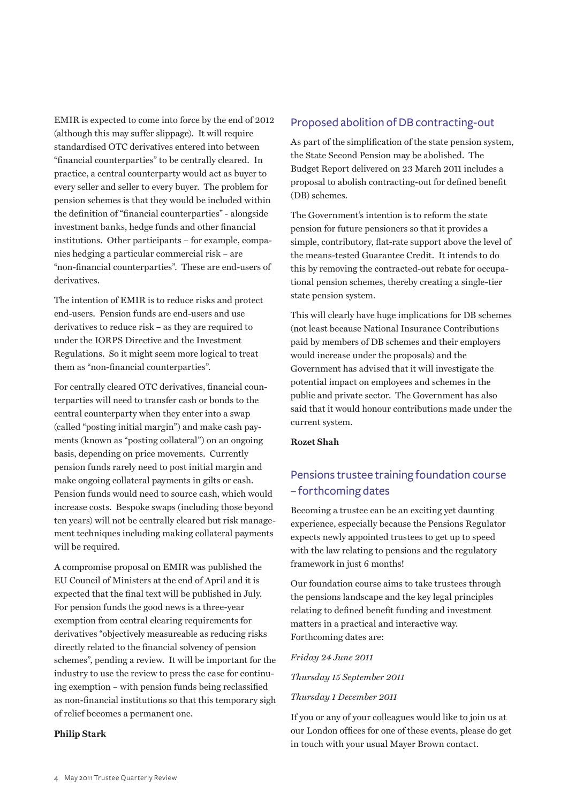EMIR is expected to come into force by the end of 2012 (although this may suffer slippage). It will require standardised OTC derivatives entered into between "financial counterparties" to be centrally cleared. In practice, a central counterparty would act as buyer to every seller and seller to every buyer. The problem for pension schemes is that they would be included within the definition of "financial counterparties" - alongside investment banks, hedge funds and other financial institutions. Other participants – for example, companies hedging a particular commercial risk – are "non-financial counterparties". These are end-users of derivatives.

The intention of EMIR is to reduce risks and protect end-users. Pension funds are end-users and use derivatives to reduce risk – as they are required to under the IORPS Directive and the Investment Regulations. So it might seem more logical to treat them as "non-financial counterparties".

For centrally cleared OTC derivatives, financial counterparties will need to transfer cash or bonds to the central counterparty when they enter into a swap (called "posting initial margin") and make cash payments (known as "posting collateral") on an ongoing basis, depending on price movements. Currently pension funds rarely need to post initial margin and make ongoing collateral payments in gilts or cash. Pension funds would need to source cash, which would increase costs. Bespoke swaps (including those beyond ten years) will not be centrally cleared but risk management techniques including making collateral payments will be required.

A compromise proposal on EMIR was published the EU Council of Ministers at the end of April and it is expected that the final text will be published in July. For pension funds the good news is a three-year exemption from central clearing requirements for derivatives "objectively measureable as reducing risks directly related to the financial solvency of pension schemes", pending a review. It will be important for the industry to use the review to press the case for continuing exemption – with pension funds being reclassified as non-financial institutions so that this temporary sigh of relief becomes a permanent one.

#### **Philip Stark**

#### Proposed abolition of DB contracting-out

As part of the simplification of the state pension system, the State Second Pension may be abolished. The Budget Report delivered on 23 March 2011 includes a proposal to abolish contracting-out for defined benefit (DB) schemes.

The Government's intention is to reform the state pension for future pensioners so that it provides a simple, contributory, flat-rate support above the level of the means-tested Guarantee Credit. It intends to do this by removing the contracted-out rebate for occupational pension schemes, thereby creating a single-tier state pension system.

This will clearly have huge implications for DB schemes (not least because National Insurance Contributions paid by members of DB schemes and their employers would increase under the proposals) and the Government has advised that it will investigate the potential impact on employees and schemes in the public and private sector. The Government has also said that it would honour contributions made under the current system.

#### **Rozet Shah**

## Pensions trustee training foundation course – forthcoming dates

Becoming a trustee can be an exciting yet daunting experience, especially because the Pensions Regulator expects newly appointed trustees to get up to speed with the law relating to pensions and the regulatory framework in just 6 months!

Our foundation course aims to take trustees through the pensions landscape and the key legal principles relating to defined benefit funding and investment matters in a practical and interactive way. Forthcoming dates are:

#### *Friday 24 June 2011*

*Thursday 15 September 2011*

#### *Thursday 1 December 2011*

If you or any of your colleagues would like to join us at our London offices for one of these events, please do get in touch with your usual Mayer Brown contact.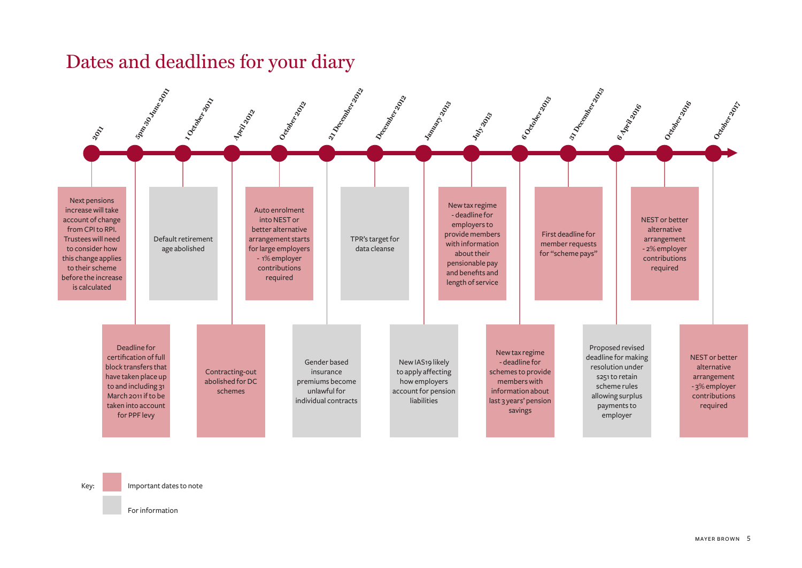## Dates and deadlines for your diary



Key: Important dates to note

For information